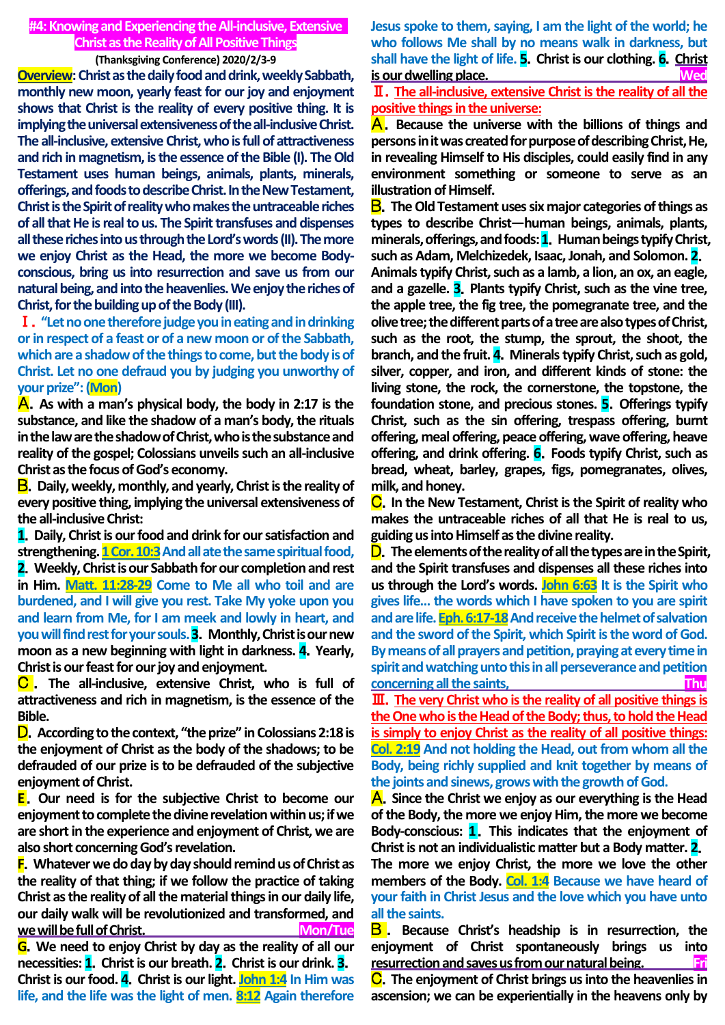## **#4: Knowing and Experiencing the All-inclusive, Extensive Christ as the Reality of All Positive Things**

### **(Thanksgiving Conference) 2020/2/3-9**

**Overview:** Christ as the daily food and drink, weekly Sabbath, **monthly new moon, yearly feast for our joy and enjoyment shows that Christ is the reality of every positive thing. It is implying the universal extensiveness of the all-inclusive Christ. The all-inclusive, extensive Christ, who is full of attractiveness and rich in magnetism, is the essence of the Bible (I). The Old Testament uses human beings, animals, plants, minerals, offerings, and foods to describe Christ. In the New Testament, Christ is the Spirit of reality whomakes the untraceable riches of all that He is real to us. The Spirit transfuses and dispenses all these riches into us through the Lord's words (II). The more we enjoy Christ as the Head, the more we become Bodyconscious, bring us into resurrection and save us from our natural being, and into the heavenlies. We enjoy the riches of Christ, for the building up of the Body (III).**

Ⅰ.**"Let no one therefore judge you in eating and in drinking or in respect of a feast or of a new moon or of the Sabbath, which are a shadow of the things to come, but the body is of Christ. Let no one defraud you by judging you unworthy of your prize":(Mon)**

A.**As with a man's physical body, the body in 2:17 is the substance, and like the shadow of a man's body, the rituals in the law are the shadow of Christ, who is the substance and reality of the gospel; Colossians unveils such an all-inclusive Christ as the focus of God's economy.**

B.**Daily, weekly, monthly, and yearly, Christ is the reality of every positive thing, implying the universal extensiveness of the all-inclusive Christ:**

**1**.**Daily, Christ is our food and drink for our satisfaction and** strengthening. 1 Cor. 10:3 And all ate the same spiritual food, **2**.**Weekly, Christ is our Sabbath for our completion and rest in Him. Matt. 11:28-29 Come to Me all who toil and are burdened, and I will give you rest. Take My yoke upon you and learn from Me, for I am meek and lowly in heart, and you will find rest for your souls.3**.**Monthly, Christ is our new moon as a new beginning with light in darkness. 4**.**Yearly, Christ is our feast for our joy and enjoyment.**

C . **The all-inclusive, extensive Christ, who is full of attractiveness and rich in magnetism, is the essence of the Bible.**

D.**According to the context, "the prize" in Colossians 2:18 is the enjoyment of Christ as the body of the shadows; to be defrauded of our prize is to be defrauded of the subjective enjoyment of Christ.**

**E**.**Our need is for the subjective Christ to become our enjoyment to complete the divine revelation within us; if we are short in the experience and enjoyment of Christ, we are also short concerning God's revelation.**

**F**.**Whatever we do dayby day should remind us of Christ as the reality of that thing; if we follow the practice of taking Christ as the reality of all the material things in our daily life, our daily walk will be revolutionized and transformed, and we will be full of Christ.** Mon/Tue

**G**.**We need to enjoy Christ by day as the reality of all our necessities: 1**.**Christ is our breath. 2**.**Christ is our drink. 3**. **Christ is our food. 4**.**Christ is our light. John 1:4 In Him was life, and the life was the light of men. 8:12 Again therefore** 

**Jesus spoke to them, saying, I am the light of the world; he who follows Me shall by no means walk in darkness, but shall have the light of life. 5**.**Christ is our clothing. 6**.**Christ is our dwelling place.** 

Ⅱ.**The all-inclusive, extensive Christ is the reality of all the positive things in the universe:**

A.**Because the universe with the billions of things and persons in it was created for purpose of describing Christ, He, in revealing Himself to His disciples, could easily find in any environment something or someone to serve as an illustration of Himself.**

B.**The Old Testament uses six major categories of things as types to describe Christ—human beings, animals, plants, minerals, offerings, and foods:1**.**Human beings typify Christ, such as Adam, Melchizedek, Isaac, Jonah, and Solomon. 2**. **Animals typify Christ, such as a lamb, a lion, an ox, an eagle, and a gazelle. 3**.**Plants typify Christ, such as the vine tree, the apple tree, the fig tree, the pomegranate tree, and the olive tree; the different parts of a tree are also types of Christ, such as the root, the stump, the sprout, the shoot, the branch, and the fruit. 4**.**Minerals typify Christ, such as gold, silver, copper, and iron, and different kinds of stone: the living stone, the rock, the cornerstone, the topstone, the foundation stone, and precious stones. 5**.**Offerings typify Christ, such as the sin offering, trespass offering, burnt offering, meal offering, peace offering, wave offering, heave offering, and drink offering. 6**.**Foods typify Christ, such as bread, wheat, barley, grapes, figs, pomegranates, olives, milk, and honey.**

C.**In the New Testament, Christ is the Spirit of reality who makes the untraceable riches of all that He is real to us, guiding us into Himself as the divine reality.**

D.**The elements of the reality of all the types are in the Spirit, and the Spirit transfuses and dispenses all these riches into us through the Lord's words. John 6:63 It is the Spirit who gives life… the words which I have spoken to you are spirit**  and are life. **Eph. 6:17-18** And receive the helmet of salvation **and the sword of the Spirit, which Spirit is the word of God. By means of all prayers and petition, praying at every time in spirit and watching unto this in all perseverance and petition concerning all the saints, Thu**

Ⅲ.**The very Christ who is the reality of all positive things is the One who is the Head of the Body; thus, to hold the Head is simply to enjoy Christ as the reality of all positive things: Col. 2:19 And not holding the Head, out from whom all the Body, being richly supplied and knit together by means of the joints and sinews, grows with the growth of God.**

A.**Since the Christ we enjoy as our everything is the Head of the Body, the more we enjoy Him, the more we become Body-conscious: 1**.**This indicates that the enjoyment of Christ is not an individualistic matter but a Body matter. 2**.

**The more we enjoy Christ, the more we love the other members of the Body. Col. 1:4 Because we have heard of your faith in Christ Jesus and the love which you have unto all the saints.**

B . **Because Christ's headship is in resurrection, the enjoyment of Christ spontaneously brings us into resurrection and saves us from our natural being. Fri**

C.**The enjoyment of Christ brings us into the heavenlies in ascension; we can be experientially in the heavens only by**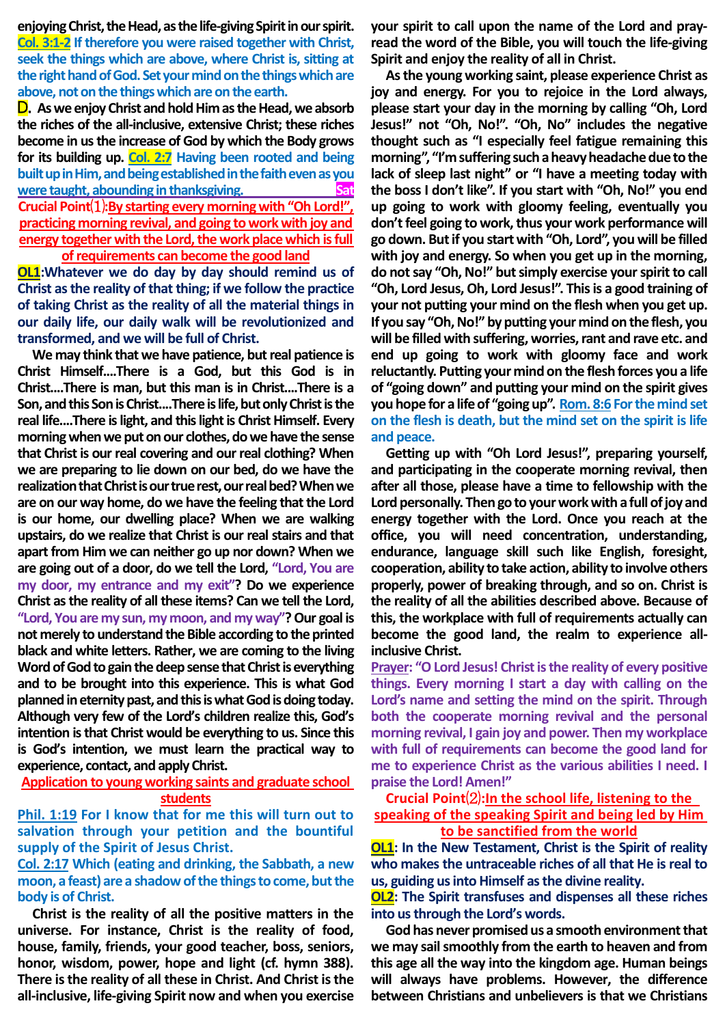**enjoying Christ, the Head, as the life-giving Spirit in our spirit. Col. 3:1-2 If therefore you were raised together with Christ, seek the things which are above, where Christ is, sitting at the right hand of God. Set your mind on the things which are above, not on the things which are on the earth.**

D.**As we enjoy Christ and hold Him as the Head, we absorb the riches of the all-inclusive, extensive Christ; these riches become in us the increase of God by which the Body grows for its building up. Col. 2:7 Having been rooted and being built up in Him, andbeing established in the faith even as you**  were taught, abounding in thanksgiving. **Crucial Point**⑴**:By starting every morning with "Oh Lord!", practicing morning revival, and going to work with joy and energy together with the Lord, the work place which is full of requirements can become the good land**

**OL1:Whatever we do day by day should remind us of Christ as the reality of that thing; if we follow the practice of taking Christ as the reality of all the material things in our daily life, our daily walk will be revolutionized and transformed, and we will be full of Christ.**

**We may think that we have patience, but real patience is Christ Himself....There is a God, but this God is in Christ....There is man, but this man is in Christ....There is a Son, and this Son is Christ....There is life, but only Christ is the real life....There is light, and this light is Christ Himself. Every morning when we put on our clothes, do we have the sense that Christ is our real covering and our real clothing? When we are preparing to lie down on our bed, do we have the realization that Christ is our true rest, our real bed? When we are on our way home, do we have the feeling that the Lord is our home, our dwelling place? When we are walking upstairs, do we realize that Christ is our real stairs and that apart from Him we can neither go up nor down? When we are going out of a door, do we tell the Lord, "Lord, You are my door, my entrance and my exit"? Do we experience Christ as the reality of all these items? Can we tell the Lord, "Lord, You are my sun, my moon, and my way"? Our goal is not merely to understand the Bible according to the printed black and white letters. Rather, we are coming to the living Word of God to gain the deep sense that Christ is everything and to be brought into this experience. This is what God planned in eternity past, and this is what God is doing today. Although very few of the Lord's children realize this, God's intention is that Christ would be everything to us. Since this is God's intention, we must learn the practical way to experience, contact, and apply Christ.**

**Application to young working saints and graduate school students**

**Phil. 1:19 For I know that for me this will turn out to salvation through your petition and the bountiful supply of the Spirit of Jesus Christ.**

**Col. 2:17 Which (eating and drinking, the Sabbath, a new moon, a feast) are a shadow of the things to come, but the body is of Christ.**

**Christ is the reality of all the positive matters in the universe. For instance, Christ is the reality of food, house, family, friends, your good teacher, boss, seniors, honor, wisdom, power, hope and light (cf. hymn 388). There is the reality of all these in Christ. And Christ is the all-inclusive, life-giving Spirit now and when you exercise**  **your spirit to call upon the name of the Lord and prayread the word of the Bible, you will touch the life-giving Spirit and enjoy the reality of all in Christ.** 

**As the young working saint, please experience Christ as joy and energy. For you to rejoice in the Lord always, please start your day in the morning by calling "Oh, Lord Jesus!" not "Oh, No!". "Oh, No" includes the negative thought such as "I especially feel fatigue remaining this morning", "I'm suffering such a heavy headache due to the lack of sleep last night" or "I have a meeting today with the boss I don't like". If you start with "Oh, No!" you end up going to work with gloomy feeling, eventually you don't feel going to work, thus your work performance will go down. But if you start with "Oh, Lord", you will be filled with joy and energy. So when you get up in the morning, do not say "Oh, No!" but simply exercise your spirit to call "Oh, Lord Jesus, Oh, Lord Jesus!". This is a good training of your not putting your mind on the flesh when you get up. If you say "Oh, No!" by putting your mind on the flesh, you will be filled with suffering, worries, rant and rave etc. and end up going to work with gloomy face and work reluctantly. Putting your mind on the flesh forces you a life of "going down" and putting your mind on the spirit gives you hope for a life of "going up". Rom. 8:6 For the mind set on the flesh is death, but the mind set on the spirit is life and peace.**

**Getting up with "Oh Lord Jesus!", preparing yourself, and participating in the cooperate morning revival, then after all those, please have a time to fellowship with the Lord personally. Then go to your work with a full of joy and energy together with the Lord. Once you reach at the office, you will need concentration, understanding, endurance, language skill such like English, foresight, cooperation, ability to take action, ability to involve others properly, power of breaking through, and so on. Christ is the reality of all the abilities described above. Because of this, the workplace with full of requirements actually can become the good land, the realm to experience allinclusive Christ.**

**Prayer: "O Lord Jesus! Christ is the reality of every positive things. Every morning I start a day with calling on the Lord's name and setting the mind on the spirit. Through both the cooperate morning revival and the personal morning revival, I gain joy and power. Then my workplace with full of requirements can become the good land for me to experience Christ as the various abilities I need. I praise the Lord! Amen!"**

**Crucial Point**⑵**:In the school life, listening to the speaking of the speaking Spirit and being led by Him to be sanctified from the world**

**OL1: In the New Testament, Christ is the Spirit of reality who makes the untraceable riches of all that He is real to us, guiding us into Himself as the divine reality.**

**OL2: The Spirit transfuses and dispenses all these riches into us through the Lord's words.**

**God has never promised us a smooth environment that we may sail smoothly from the earth to heaven and from this age all the way into the kingdom age. Human beings will always have problems. However, the difference between Christians and unbelievers is that we Christians**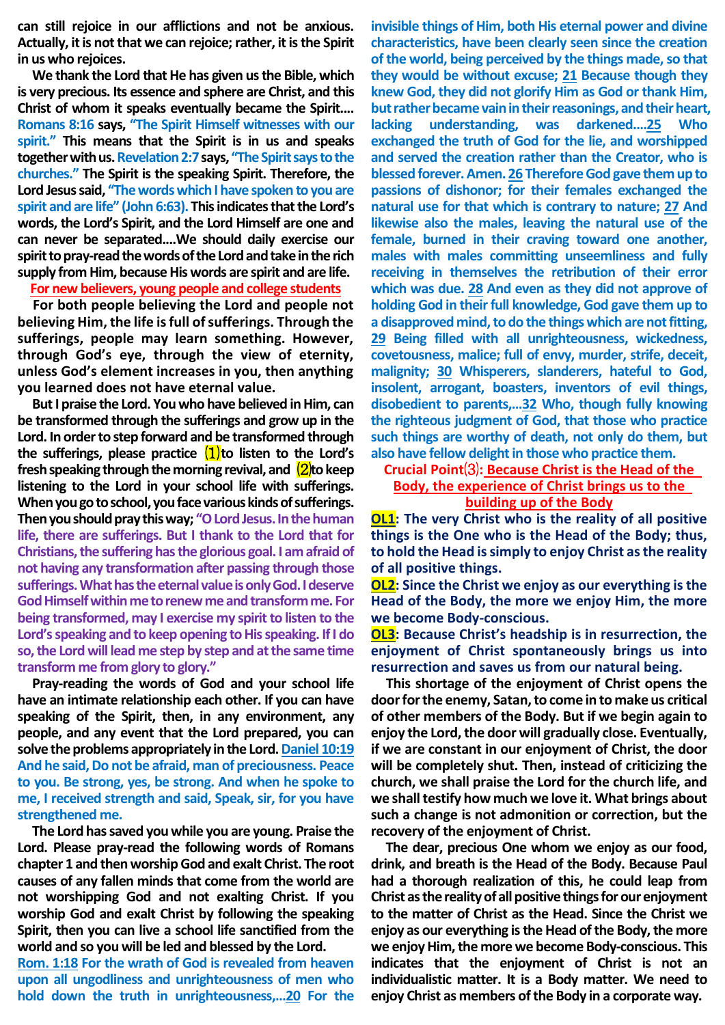**can still rejoice in our afflictions and not be anxious. Actually, it is not that we can rejoice; rather, it is the Spirit in us who rejoices.**

**We thank the Lord that He has given us the Bible, which is very precious. Its essence and sphere are Christ, and this Christ of whom it speaks eventually became the Spirit.... Romans 8:16 says, "The Spirit Himself witnesses with our spirit." This means that the Spirit is in us and speaks together with us. Revelation 2:7says, "The Spirit says to the churches." The Spirit is the speaking Spirit. Therefore, the Lord Jesus said, "The words which I have spoken to you are spirit and are life" (John 6:63). This indicates that the Lord's words, the Lord's Spirit, and the Lord Himself are one and can never be separated....We should daily exercise our spirit to pray-read the words of the Lord and take in the rich supply from Him, because His words are spirit and are life.**

## **For new believers, young people and college students**

**For both people believing the Lord and people not believing Him, the life is full of sufferings. Through the sufferings, people may learn something. However, through God's eye, through the view of eternity, unless God's element increases in you, then anything you learned does not have eternal value.**

**But I praise the Lord. You who have believed in Him, can be transformed through the sufferings and grow up in the Lord. In order to step forward and be transformed through the sufferings, please practice** ⑴**to listen to the Lord's**  fresh speaking through the morning revival, and  $(2)$ to keep **listening to the Lord in your school life with sufferings. When you go to school, you face various kinds of sufferings. Then you should pray this way; "O Lord Jesus. In the human life, there are sufferings. But I thank to the Lord that for Christians, the suffering has the glorious goal. I am afraid of not having any transformation after passing through those sufferings. What has the eternal value is only God. I deserve God Himself within me to renew me and transform me. For being transformed, may I exercise my spirit to listen to the Lord's speaking and to keep opening to His speaking. If I do so, the Lord will lead me step by step and at the same time transform me from glory to glory."**

**Pray-reading the words of God and your school life have an intimate relationship each other. If you can have speaking of the Spirit, then, in any environment, any people, and any event that the Lord prepared, you can solve the problems appropriately in the Lord. Daniel 10:19 And he said, Do not be afraid, man of preciousness. Peace to you. Be strong, yes, be strong. And when he spoke to me, I received strength and said, Speak, sir, for you have strengthened me.**

**The Lord has saved you while you are young. Praise the Lord. Please pray-read the following words of Romans chapter 1 and then worship God and exalt Christ. The root causes of any fallen minds that come from the world are not worshipping God and not exalting Christ. If you worship God and exalt Christ by following the speaking Spirit, then you can live a school life sanctified from the world and so you will be led and blessed by the Lord.**

**Rom. 1:18 For the wrath of God is revealed from heaven upon all ungodliness and unrighteousness of men who hold down the truth in unrighteousness,…20 For the** 

**invisible things of Him, both His eternal power and divine characteristics, have been clearly seen since the creation of the world, being perceived by the things made, so that they would be without excuse; 21 Because though they knew God, they did not glorify Him as God or thank Him, but rather became vain in their reasonings, and their heart, lacking understanding, was darkened.…25 Who exchanged the truth of God for the lie, and worshipped and served the creation rather than the Creator, who is blessed forever. Amen. 26 Therefore God gave them up to passions of dishonor; for their females exchanged the natural use for that which is contrary to nature; 27 And likewise also the males, leaving the natural use of the female, burned in their craving toward one another, males with males committing unseemliness and fully receiving in themselves the retribution of their error which was due. 28 And even as they did not approve of holding God in their full knowledge, God gave them up to a disapproved mind, to do the things which are not fitting, 29 Being filled with all unrighteousness, wickedness, covetousness, malice; full of envy, murder, strife, deceit, malignity; 30 Whisperers, slanderers, hateful to God, insolent, arrogant, boasters, inventors of evil things, disobedient to parents,…32 Who, though fully knowing the righteous judgment of God, that those who practice such things are worthy of death, not only do them, but also have fellow delight in those who practice them.**

# **Crucial Point**⑶**: Because Christ is the Head of the Body, the experience of Christ brings us to the building up of the Body**

**OL1: The very Christ who is the reality of all positive things is the One who is the Head of the Body; thus, to hold the Head is simply to enjoy Christ as the reality of all positive things.**

**OL2: Since the Christ we enjoy as our everything is the Head of the Body, the more we enjoy Him, the more we become Body-conscious.**

**OL3: Because Christ's headship is in resurrection, the enjoyment of Christ spontaneously brings us into resurrection and saves us from our natural being.**

**This shortage of the enjoyment of Christ opens the door for the enemy, Satan, to come in to make us critical of other members of the Body. But if we begin again to enjoy the Lord, the door will gradually close. Eventually, if we are constant in our enjoyment of Christ, the door will be completely shut. Then, instead of criticizing the church, we shall praise the Lord for the church life, and we shall testify how much we love it. What brings about such a change is not admonition or correction, but the recovery of the enjoyment of Christ.** 

**The dear, precious One whom we enjoy as our food, drink, and breath is the Head of the Body. Because Paul had a thorough realization of this, he could leap from Christ as the reality of all positive things for our enjoyment to the matter of Christ as the Head. Since the Christ we enjoy as our everything is the Head of the Body, the more we enjoy Him, the more we become Body-conscious. This indicates that the enjoyment of Christ is not an individualistic matter. It is a Body matter. We need to enjoy Christ as members of the Body in a corporate way.**